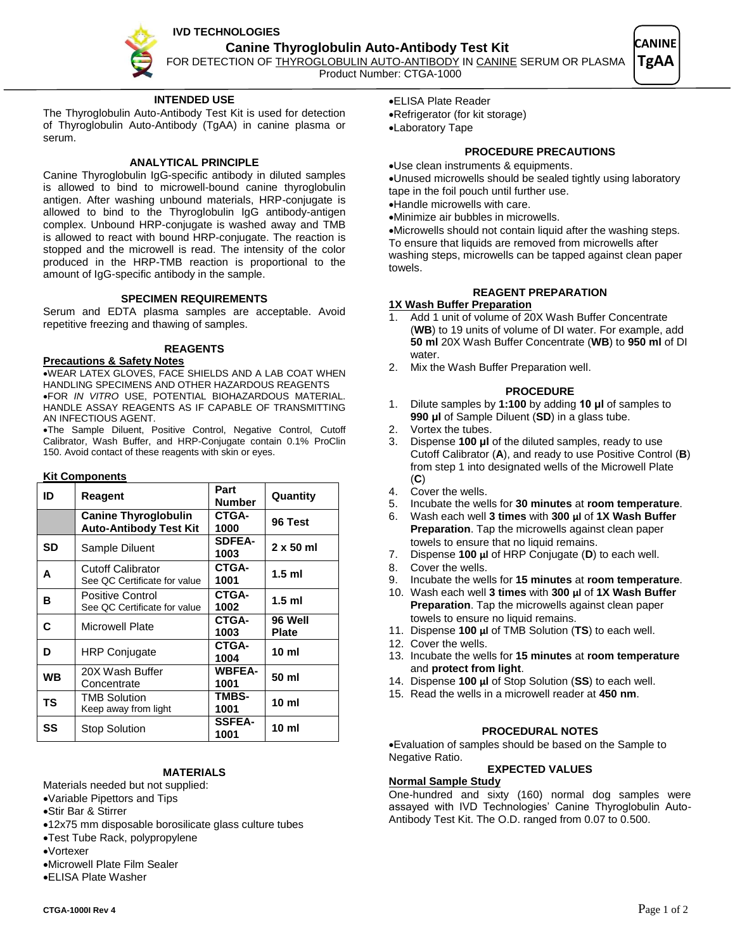**IVD TECHNOLOGIES** 



# **INTENDED USE**

The Thyroglobulin Auto-Antibody Test Kit is used for detection of Thyroglobulin Auto-Antibody (TgAA) in canine plasma or serum.

### **ANALYTICAL PRINCIPLE**

Canine Thyroglobulin IgG-specific antibody in diluted samples is allowed to bind to microwell-bound canine thyroglobulin antigen. After washing unbound materials, HRP-conjugate is allowed to bind to the Thyroglobulin IgG antibody-antigen complex. Unbound HRP-conjugate is washed away and TMB is allowed to react with bound HRP-conjugate. The reaction is stopped and the microwell is read. The intensity of the color produced in the HRP-TMB reaction is proportional to the amount of IgG-specific antibody in the sample.

### **SPECIMEN REQUIREMENTS**

Serum and EDTA plasma samples are acceptable. Avoid repetitive freezing and thawing of samples.

#### **REAGENTS**

#### **Precautions & Safety Notes**

WEAR LATEX GLOVES, FACE SHIELDS AND A LAB COAT WHEN HANDLING SPECIMENS AND OTHER HAZARDOUS REAGENTS FOR *IN VITRO* USE, POTENTIAL BIOHAZARDOUS MATERIAL. HANDLE ASSAY REAGENTS AS IF CAPABLE OF TRANSMITTING AN INFECTIOUS AGENT.

The Sample Diluent, Positive Control, Negative Control, Cutoff Calibrator, Wash Buffer, and HRP-Conjugate contain 0.1% ProClin 150. Avoid contact of these reagents with skin or eyes.

#### **Kit Components**

| ID        | Reagent                                                      | Part<br><b>Number</b> | Quantity                |
|-----------|--------------------------------------------------------------|-----------------------|-------------------------|
|           | <b>Canine Thyroglobulin</b><br><b>Auto-Antibody Test Kit</b> | CTGA-<br>1000         | 96 Test                 |
| SD        | Sample Diluent                                               | <b>SDFEA-</b><br>1003 | $2 \times 50$ ml        |
| A         | <b>Cutoff Calibrator</b><br>See QC Certificate for value     | CTGA-<br>1001         | $1.5$ ml                |
| в         | Positive Control<br>See QC Certificate for value             | CTGA-<br>1002         | $1.5$ ml                |
| С         | Microwell Plate                                              | CTGA-<br>1003         | 96 Well<br><b>Plate</b> |
| D         | <b>HRP Conjugate</b>                                         | CTGA-<br>1004         | 10 ml                   |
| <b>WB</b> | 20X Wash Buffer<br>Concentrate                               | <b>WBFEA-</b><br>1001 | 50 ml                   |
| ΤS        | <b>TMB Solution</b><br>Keep away from light                  | <b>TMBS-</b><br>1001  | 10 <sub>m</sub>         |
| SS        | Stop Solution                                                | <b>SSFEA-</b><br>1001 | 10 ml                   |

## **MATERIALS**

### Materials needed but not supplied:

Variable Pipettors and Tips

- Stir Bar & Stirrer
- 12x75 mm disposable borosilicate glass culture tubes
- Test Tube Rack, polypropylene
- Vortexer
- Microwell Plate Film Sealer
- ELISA Plate Washer

ELISA Plate Reader

## **PROCEDURE PRECAUTIONS**

Use clean instruments & equipments.

Unused microwells should be sealed tightly using laboratory tape in the foil pouch until further use.

Handle microwells with care.

Minimize air bubbles in microwells.

Microwells should not contain liquid after the washing steps. To ensure that liquids are removed from microwells after washing steps, microwells can be tapped against clean paper towels.

## **REAGENT PREPARATION**

#### **1X Wash Buffer Preparation**

- Add 1 unit of volume of 20X Wash Buffer Concentrate (**WB**) to 19 units of volume of DI water. For example, add **50 ml** 20X Wash Buffer Concentrate (**WB**) to **950 ml** of DI water
- 2. Mix the Wash Buffer Preparation well.

#### **PROCEDURE**

- 1. Dilute samples by **1:100** by adding **10 μl** of samples to **990 μl** of Sample Diluent (**SD**) in a glass tube.
- 2. Vortex the tubes.
- 3. Dispense **100 μl** of the diluted samples, ready to use Cutoff Calibrator (**A**), and ready to use Positive Control (**B**) from step 1 into designated wells of the Microwell Plate (**C**)
- 4. Cover the wells.
- 5. Incubate the wells for **30 minutes** at **room temperature**.
- 6. Wash each well **3 times** with **300 μl** of **1X Wash Buffer Preparation**. Tap the microwells against clean paper towels to ensure that no liquid remains.
- 7. Dispense **100 μl** of HRP Conjugate (**D**) to each well.
- 8. Cover the wells.
- 9. Incubate the wells for **15 minutes** at **room temperature**.
- 10. Wash each well **3 times** with **300 μl** of **1X Wash Buffer Preparation**. Tap the microwells against clean paper towels to ensure no liquid remains.
- 11. Dispense **100 μl** of TMB Solution (**TS**) to each well.
- 12. Cover the wells.
- 13. Incubate the wells for **15 minutes** at **room temperature** and **protect from light**.
- 14. Dispense **100 μl** of Stop Solution (**SS**) to each well.
- 15. Read the wells in a microwell reader at **450 nm**.

#### **PROCEDURAL NOTES**

Evaluation of samples should be based on the Sample to Negative Ratio.

### **EXPECTED VALUES**

# **Normal Sample Study**

One-hundred and sixty (160) normal dog samples were assayed with IVD Technologies' Canine Thyroglobulin Auto-Antibody Test Kit. The O.D. ranged from 0.07 to 0.500.